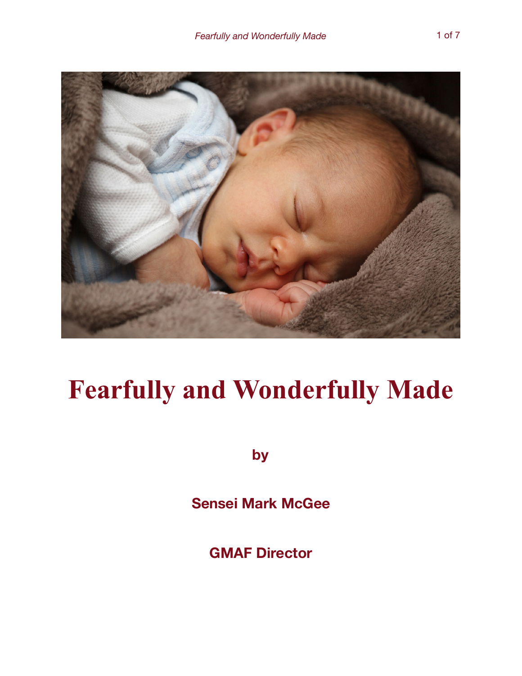

## **Fearfully and Wonderfully Made**

**by**

**Sensei Mark McGee** 

**GMAF Director**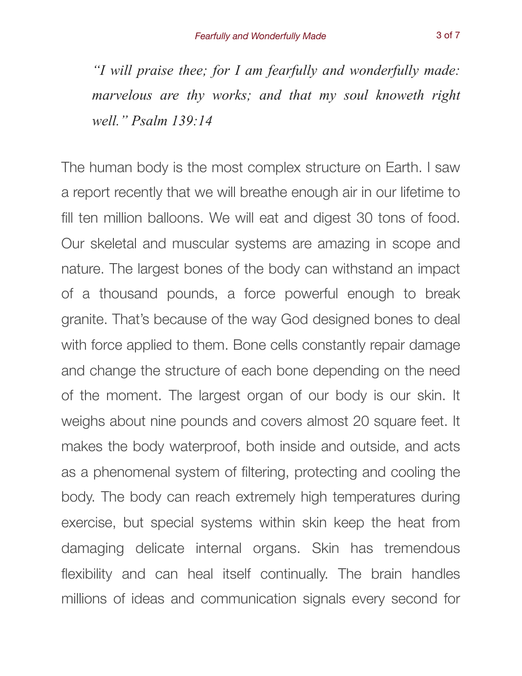*"I will praise thee; for I am fearfully and wonderfully made: marvelous are thy works; and that my soul knoweth right well." Psalm 139:14* 

The human body is the most complex structure on Earth. I saw a report recently that we will breathe enough air in our lifetime to fill ten million balloons. We will eat and digest 30 tons of food. Our skeletal and muscular systems are amazing in scope and nature. The largest bones of the body can withstand an impact of a thousand pounds, a force powerful enough to break granite. That's because of the way God designed bones to deal with force applied to them. Bone cells constantly repair damage and change the structure of each bone depending on the need of the moment. The largest organ of our body is our skin. It weighs about nine pounds and covers almost 20 square feet. It makes the body waterproof, both inside and outside, and acts as a phenomenal system of filtering, protecting and cooling the body. The body can reach extremely high temperatures during exercise, but special systems within skin keep the heat from damaging delicate internal organs. Skin has tremendous flexibility and can heal itself continually. The brain handles millions of ideas and communication signals every second for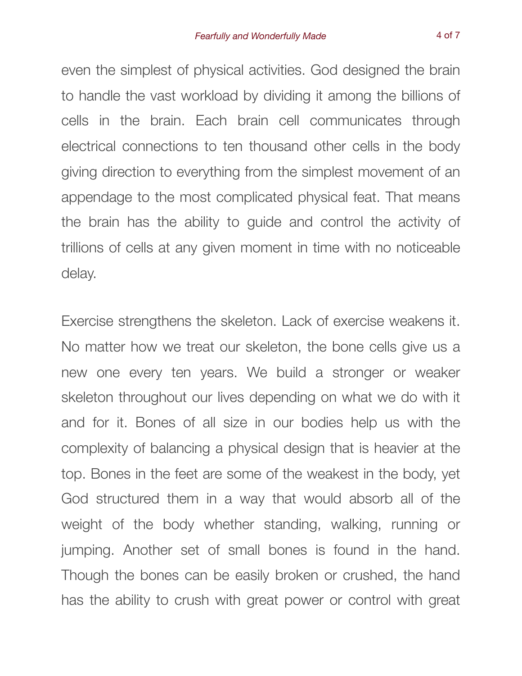even the simplest of physical activities. God designed the brain to handle the vast workload by dividing it among the billions of cells in the brain. Each brain cell communicates through electrical connections to ten thousand other cells in the body giving direction to everything from the simplest movement of an appendage to the most complicated physical feat. That means the brain has the ability to guide and control the activity of trillions of cells at any given moment in time with no noticeable delay.

Exercise strengthens the skeleton. Lack of exercise weakens it. No matter how we treat our skeleton, the bone cells give us a new one every ten years. We build a stronger or weaker skeleton throughout our lives depending on what we do with it and for it. Bones of all size in our bodies help us with the complexity of balancing a physical design that is heavier at the top. Bones in the feet are some of the weakest in the body, yet God structured them in a way that would absorb all of the weight of the body whether standing, walking, running or jumping. Another set of small bones is found in the hand. Though the bones can be easily broken or crushed, the hand has the ability to crush with great power or control with great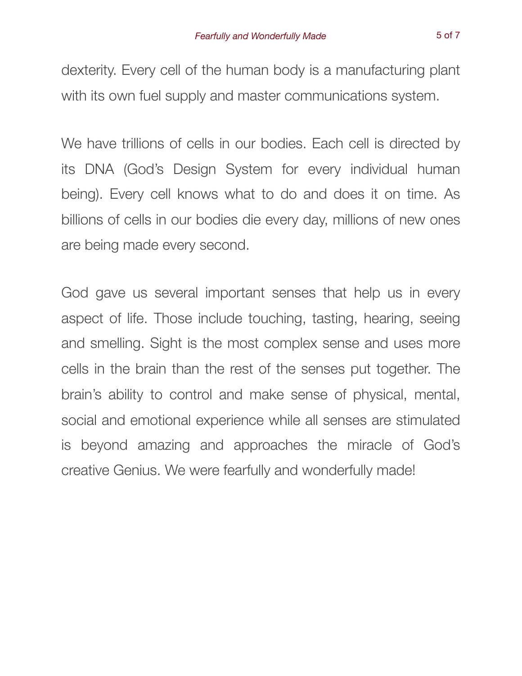dexterity. Every cell of the human body is a manufacturing plant with its own fuel supply and master communications system.

We have trillions of cells in our bodies. Each cell is directed by its DNA (God's Design System for every individual human being). Every cell knows what to do and does it on time. As billions of cells in our bodies die every day, millions of new ones are being made every second.

God gave us several important senses that help us in every aspect of life. Those include touching, tasting, hearing, seeing and smelling. Sight is the most complex sense and uses more cells in the brain than the rest of the senses put together. The brain's ability to control and make sense of physical, mental, social and emotional experience while all senses are stimulated is beyond amazing and approaches the miracle of God's creative Genius. We were fearfully and wonderfully made!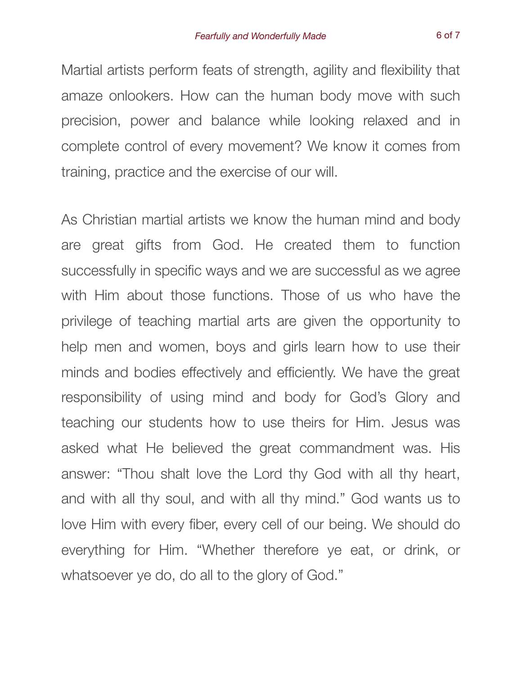Martial artists perform feats of strength, agility and flexibility that amaze onlookers. How can the human body move with such precision, power and balance while looking relaxed and in complete control of every movement? We know it comes from training, practice and the exercise of our will.

As Christian martial artists we know the human mind and body are great gifts from God. He created them to function successfully in specific ways and we are successful as we agree with Him about those functions. Those of us who have the privilege of teaching martial arts are given the opportunity to help men and women, boys and girls learn how to use their minds and bodies effectively and efficiently. We have the great responsibility of using mind and body for God's Glory and teaching our students how to use theirs for Him. Jesus was asked what He believed the great commandment was. His answer: "Thou shalt love the Lord thy God with all thy heart, and with all thy soul, and with all thy mind." God wants us to love Him with every fiber, every cell of our being. We should do everything for Him. "Whether therefore ye eat, or drink, or whatsoever ye do, do all to the glory of God."